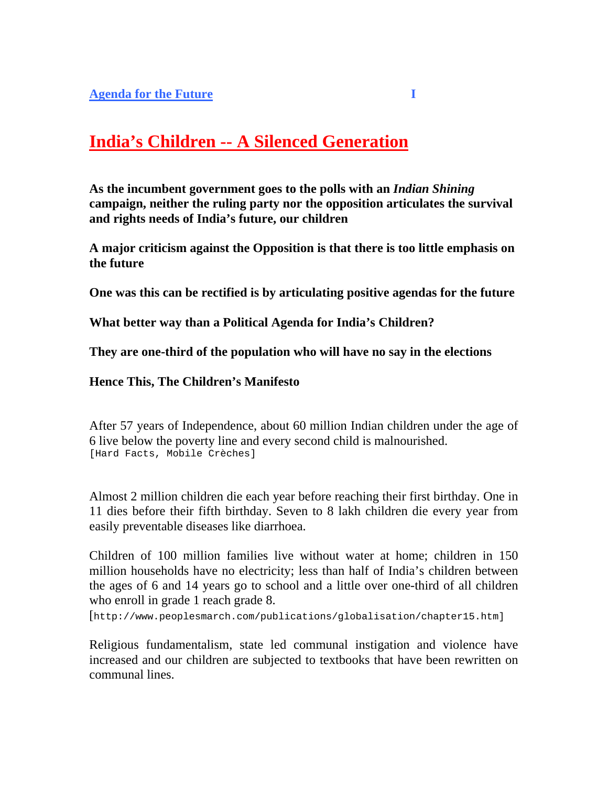# **India's Children -- A Silenced Generation**

**As the incumbent government goes to the polls with an** *Indian Shining* **campaign, neither the ruling party nor the opposition articulates the survival and rights needs of India's future, our children**

**A major criticism against the Opposition is that there is too little emphasis on the future** 

**One was this can be rectified is by articulating positive agendas for the future**

**What better way than a Political Agenda for India's Children?**

**They are one-third of the population who will have no say in the elections**

#### **Hence This, The Children's Manifesto**

After 57 years of Independence, about 60 million Indian children under the age of 6 live below the poverty line and every second child is malnourished. [Hard Facts, Mobile Crèches]

Almost 2 million children die each year before reaching their first birthday. One in 11 dies before their fifth birthday. Seven to 8 lakh children die every year from easily preventable diseases like diarrhoea.

Children of 100 million families live without water at home; children in 150 million households have no electricity; less than half of India's children between the ages of 6 and 14 years go to school and a little over one-third of all children who enroll in grade 1 reach grade 8.

[http://www.peoplesmarch.com/publications/globalisation/chapter15.htm]

Religious fundamentalism, state led communal instigation and violence have increased and our children are subjected to textbooks that have been rewritten on communal lines.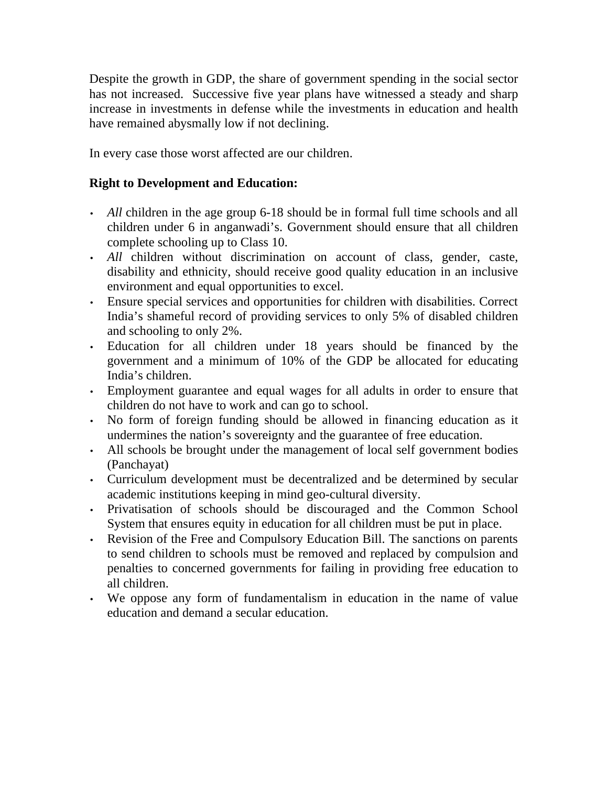Despite the growth in GDP, the share of government spending in the social sector has not increased. Successive five year plans have witnessed a steady and sharp increase in investments in defense while the investments in education and health have remained abysmally low if not declining.

In every case those worst affected are our children.

# **Right to Development and Education:**

- *All* children in the age group 6-18 should be in formal full time schools and all children under 6 in anganwadi's. Government should ensure that all children complete schooling up to Class 10.
- *All* children without discrimination on account of class, gender, caste, disability and ethnicity, should receive good quality education in an inclusive environment and equal opportunities to excel.
- Ensure special services and opportunities for children with disabilities. Correct India's shameful record of providing services to only 5% of disabled children and schooling to only 2%.
- Education for all children under 18 years should be financed by the government and a minimum of 10% of the GDP be allocated for educating India's children.
- Employment guarantee and equal wages for all adults in order to ensure that children do not have to work and can go to school.
- No form of foreign funding should be allowed in financing education as it undermines the nation's sovereignty and the guarantee of free education.
- All schools be brought under the management of local self government bodies (Panchayat)
- Curriculum development must be decentralized and be determined by secular academic institutions keeping in mind geo-cultural diversity.
- Privatisation of schools should be discouraged and the Common School System that ensures equity in education for all children must be put in place.
- Revision of the Free and Compulsory Education Bill. The sanctions on parents to send children to schools must be removed and replaced by compulsion and penalties to concerned governments for failing in providing free education to all children.
- We oppose any form of fundamentalism in education in the name of value education and demand a secular education.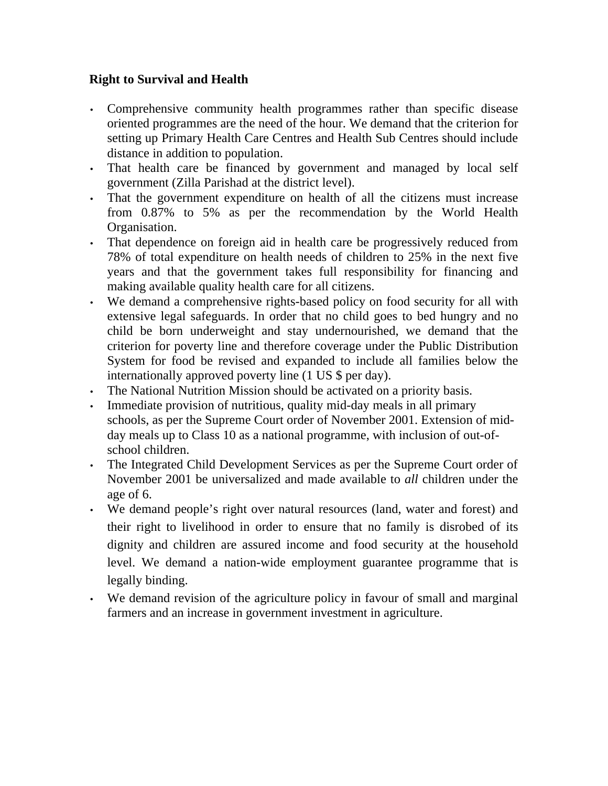#### **Right to Survival and Health**

- Comprehensive community health programmes rather than specific disease oriented programmes are the need of the hour. We demand that the criterion for setting up Primary Health Care Centres and Health Sub Centres should include distance in addition to population.
- That health care be financed by government and managed by local self government (Zilla Parishad at the district level).
- That the government expenditure on health of all the citizens must increase from 0.87% to 5% as per the recommendation by the World Health Organisation.
- That dependence on foreign aid in health care be progressively reduced from 78% of total expenditure on health needs of children to 25% in the next five years and that the government takes full responsibility for financing and making available quality health care for all citizens.
- We demand a comprehensive rights-based policy on food security for all with extensive legal safeguards. In order that no child goes to bed hungry and no child be born underweight and stay undernourished, we demand that the criterion for poverty line and therefore coverage under the Public Distribution System for food be revised and expanded to include all families below the internationally approved poverty line (1 US \$ per day).
- The National Nutrition Mission should be activated on a priority basis.
- Immediate provision of nutritious, quality mid-day meals in all primary schools, as per the Supreme Court order of November 2001. Extension of midday meals up to Class 10 as a national programme, with inclusion of out-ofschool children.
- The Integrated Child Development Services as per the Supreme Court order of November 2001 be universalized and made available to *all* children under the age of 6.
- We demand people's right over natural resources (land, water and forest) and their right to livelihood in order to ensure that no family is disrobed of its dignity and children are assured income and food security at the household level. We demand a nation-wide employment guarantee programme that is legally binding.
- We demand revision of the agriculture policy in favour of small and marginal farmers and an increase in government investment in agriculture.